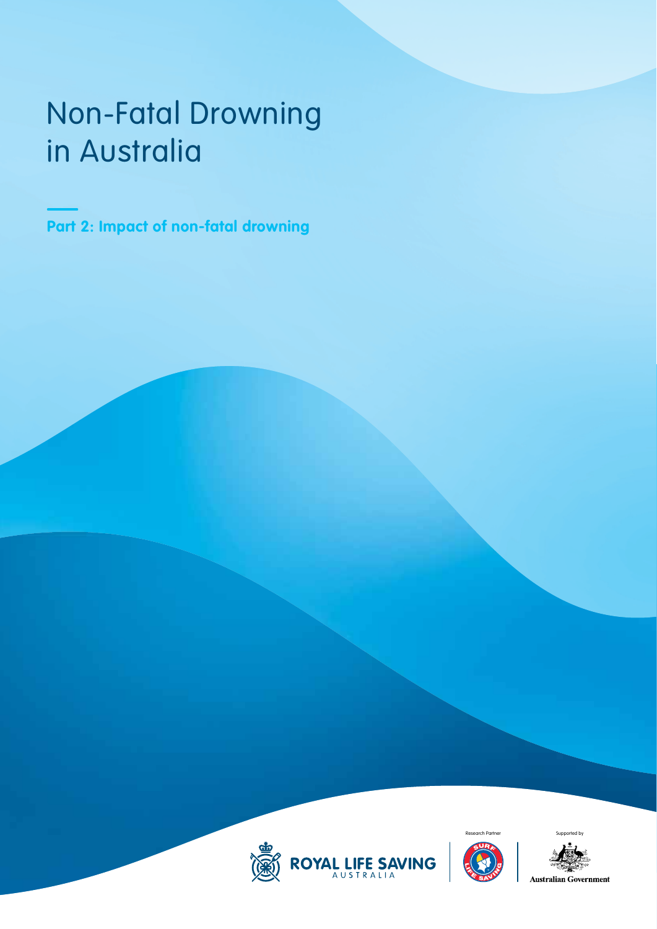# Non-Fatal Drowning in Australia

**Part 2: Impact of non-fatal drowning**





**Australian Government**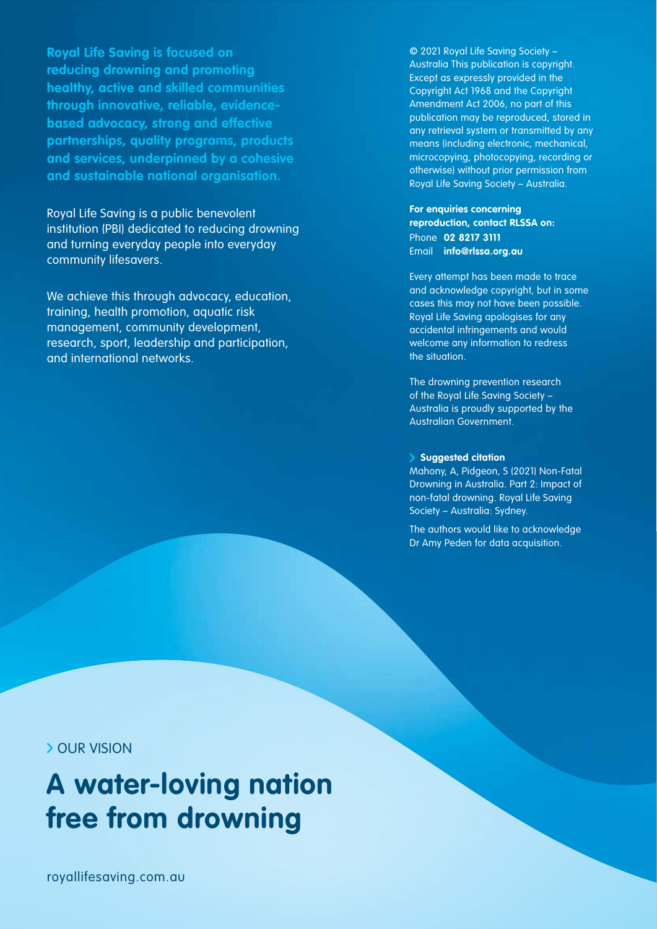**Royal Life Saving is focused on reducing drowning and promoting healthy, active and skilled communities through innovative, reliable, evidencebased advocacy, strong and effective partnerships, quality programs, products and services, underpinned by a cohesive and sustainable national organisation.**

Royal Life Saving is a public benevolent institution (PBI) dedicated to reducing drowning and turning everyday people into everyday community lifesavers.

We achieve this through advocacy, education, training, health promotion, aquatic risk management, community development, research, sport, leadership and participation, and international networks.

© 2021 Royal Life Saving Society – Australia This publication is copyright. Except as expressly provided in the Copyright Act 1968 and the Copyright Amendment Act 2006, no part of this publication may be reproduced, stored in any retrieval system or transmitted by any means (including electronic, mechanical, microcopying, photocopying, recording or otherwise) without prior permission from Royal Life Saving Society – Australia.

**For enquiries concerning reproduction, contact RLSSA on:** Phone **02 8217 3111** Email **info@rlssa.org.au** 

Every attempt has been made to trace and acknowledge copyright, but in some cases this may not have been possible. Royal Life Saving apologises for any accidental infringements and would welcome any information to redress the situation.

The drowning prevention research of the Royal Life Saving Society – Australia is proudly supported by the Australian Government.

#### **Suggested citation**

Mahony, A, Pidgeon, S (2021) Non-Fatal Drowning in Australia. Part 2: Impact of non-fatal drowning. Royal Life Saving Society – Australia: Sydney.

The authors would like to acknowledge Dr Amy Peden for data acquisition.

# **> OUR VISION**

# **A water-loving nation free from drowning**

royallifesaving.com.au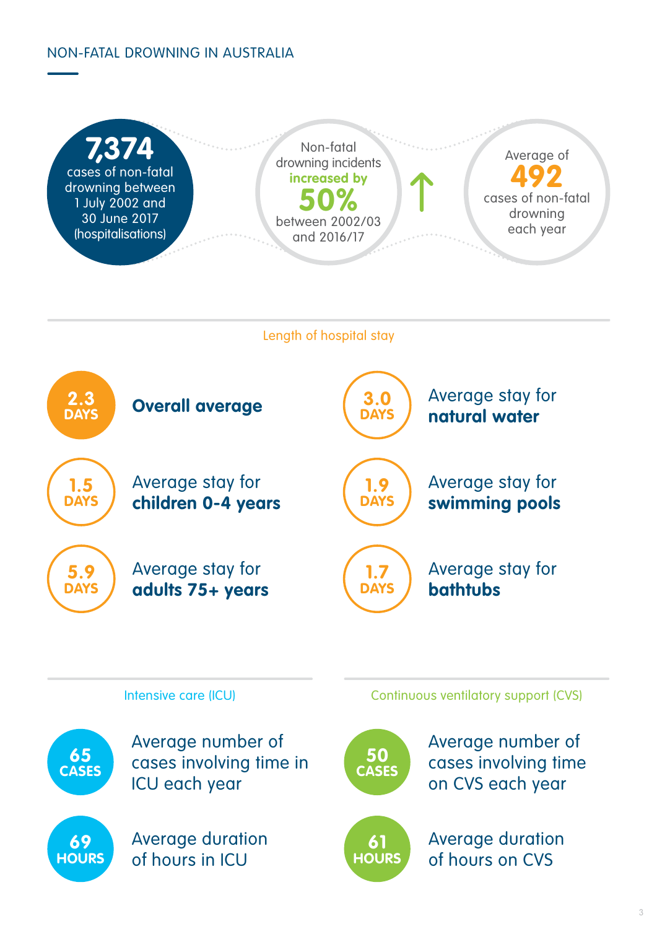# NON-FATAL DROWNING IN AUSTRALIA





Average duration of hours in ICU

**69 HOURS** Average number of cases involving time on CVS each year



Average duration of hours on CVS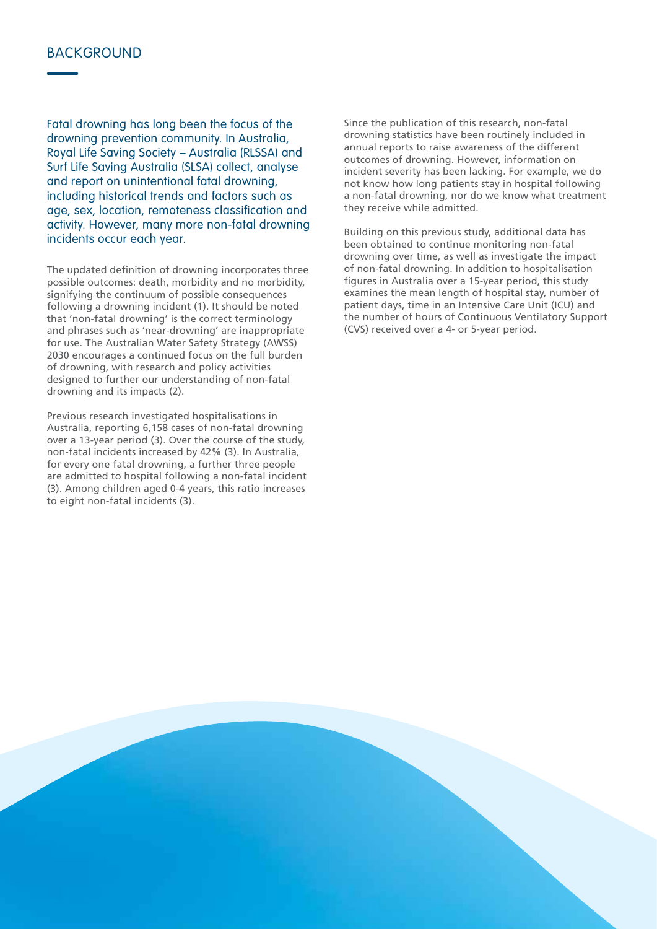# **BACKGROUND**

Fatal drowning has long been the focus of the drowning prevention community. In Australia, Royal Life Saving Society – Australia (RLSSA) and Surf Life Saving Australia (SLSA) collect, analyse and report on unintentional fatal drowning, including historical trends and factors such as age, sex, location, remoteness classification and activity. However, many more non-fatal drowning incidents occur each year.

The updated definition of drowning incorporates three possible outcomes: death, morbidity and no morbidity, signifying the continuum of possible consequences following a drowning incident (1). It should be noted that 'non-fatal drowning' is the correct terminology and phrases such as 'near-drowning' are inappropriate for use. The Australian Water Safety Strategy (AWSS) 2030 encourages a continued focus on the full burden of drowning, with research and policy activities designed to further our understanding of non-fatal drowning and its impacts (2).

Previous research investigated hospitalisations in Australia, reporting 6,158 cases of non-fatal drowning over a 13-year period (3). Over the course of the study, non-fatal incidents increased by 42% (3). In Australia, for every one fatal drowning, a further three people are admitted to hospital following a non-fatal incident (3). Among children aged 0-4 years, this ratio increases to eight non-fatal incidents (3).

Since the publication of this research, non-fatal drowning statistics have been routinely included in annual reports to raise awareness of the different outcomes of drowning. However, information on incident severity has been lacking. For example, we do not know how long patients stay in hospital following a non-fatal drowning, nor do we know what treatment they receive while admitted.

Building on this previous study, additional data has been obtained to continue monitoring non-fatal drowning over time, as well as investigate the impact of non-fatal drowning. In addition to hospitalisation figures in Australia over a 15-year period, this study examines the mean length of hospital stay, number of patient days, time in an Intensive Care Unit (ICU) and the number of hours of Continuous Ventilatory Support (CVS) received over a 4- or 5-year period.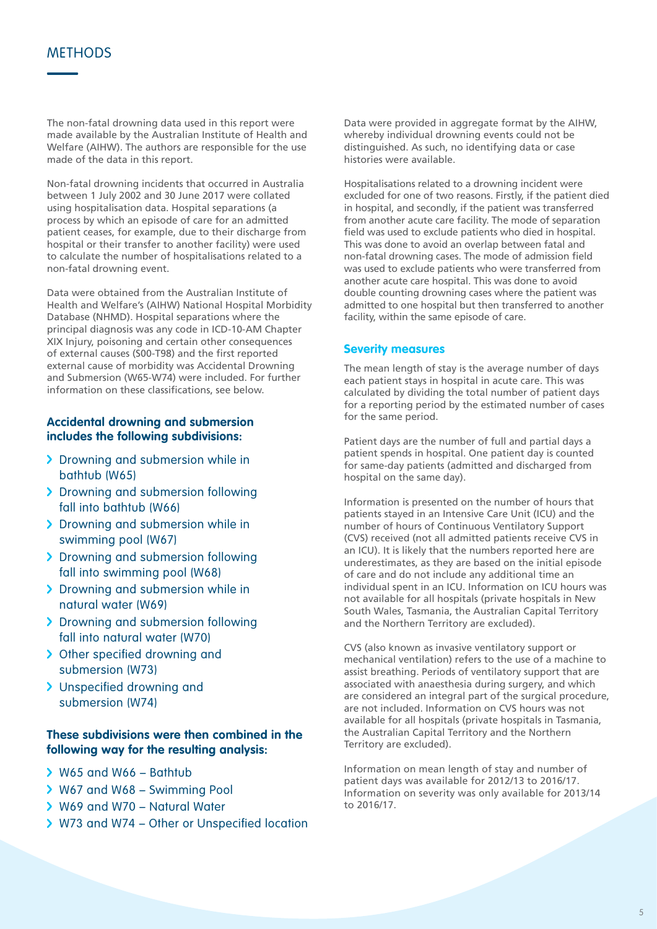# **METHODS**

The non-fatal drowning data used in this report were made available by the Australian Institute of Health and Welfare (AIHW). The authors are responsible for the use made of the data in this report.

Non-fatal drowning incidents that occurred in Australia between 1 July 2002 and 30 June 2017 were collated using hospitalisation data. Hospital separations (a process by which an episode of care for an admitted patient ceases, for example, due to their discharge from hospital or their transfer to another facility) were used to calculate the number of hospitalisations related to a non-fatal drowning event.

Data were obtained from the Australian Institute of Health and Welfare's (AIHW) National Hospital Morbidity Database (NHMD). Hospital separations where the principal diagnosis was any code in ICD-10-AM Chapter XIX Injury, poisoning and certain other consequences of external causes (S00-T98) and the first reported external cause of morbidity was Accidental Drowning and Submersion (W65-W74) were included. For further information on these classifications, see below.

# **Accidental drowning and submersion includes the following subdivisions:**

- > Drowning and submersion while in bathtub (W65)
- > Drowning and submersion following fall into bathtub (W66)
- > Drowning and submersion while in swimming pool (W67)
- > Drowning and submersion following fall into swimming pool (W68)
- > Drowning and submersion while in natural water (W69)
- > Drowning and submersion following fall into natural water (W70)
- > Other specified drowning and submersion (W73)
- > Unspecified drowning and submersion (W74)

# **These subsets is subset subset** in the for the resulting analysis:

- $66$  Bathtub
- $68 -$  Swimming Pool
- 70 Natural Water
- $74$  Other or Unspecified location

Data were provided in aggregate format by the AIHW, whereby individual drowning events could not be distinguished. As such, no identifying data or case histories were available.

Hospitalisations related to a drowning incident were excluded for one of two reasons. Firstly, if the patient died in hospital, and secondly, if the patient was transferred from another acute care facility. The mode of separation field was used to exclude patients who died in hospital. This was done to avoid an overlap between fatal and non-fatal drowning cases. The mode of admission field was used to exclude patients who were transferred from another acute care hospital. This was done to avoid double counting drowning cases where the patient was admitted to one hospital but then transferred to another facility, within the same episode of care.

### **Severity measures**

The mean length of stay is the average number of days each patient stays in hospital in acute care. This was calculated by dividing the total number of patient days for a reporting period by the estimated number of cases for the same period.

Patient days are the number of full and partial days a patient spends in hospital. One patient day is counted for same-day patients (admitted and discharged from hospital on the same day).

Information is presented on the number of hours that patients stayed in an Intensive Care Unit (ICU) and the number of hours of Continuous Ventilatory Support (CVS) received (not all admitted patients receive CVS in an ICU). It is likely that the numbers reported here are underestimates, as they are based on the initial episode of care and do not include any additional time an individual spent in an ICU. Information on ICU hours was not available for all hospitals (private hospitals in New South Wales, Tasmania, the Australian Capital Territory and the Northern Territory are excluded).

CVS (also known as invasive ventilatory support or mechanical ventilation) refers to the use of a machine to assist breathing. Periods of ventilatory support that are associated with anaesthesia during surgery, and which are considered an integral part of the surgical procedure, are not included. Information on CVS hours was not available for all hospitals (private hospitals in Tasmania, the Australian Capital Territory and the Northern Territory are excluded).

Information on mean length of stay and number of patient days was available for 2012/13 to 2016/17. Information on severity was only available for 2013/14 to 2016/17.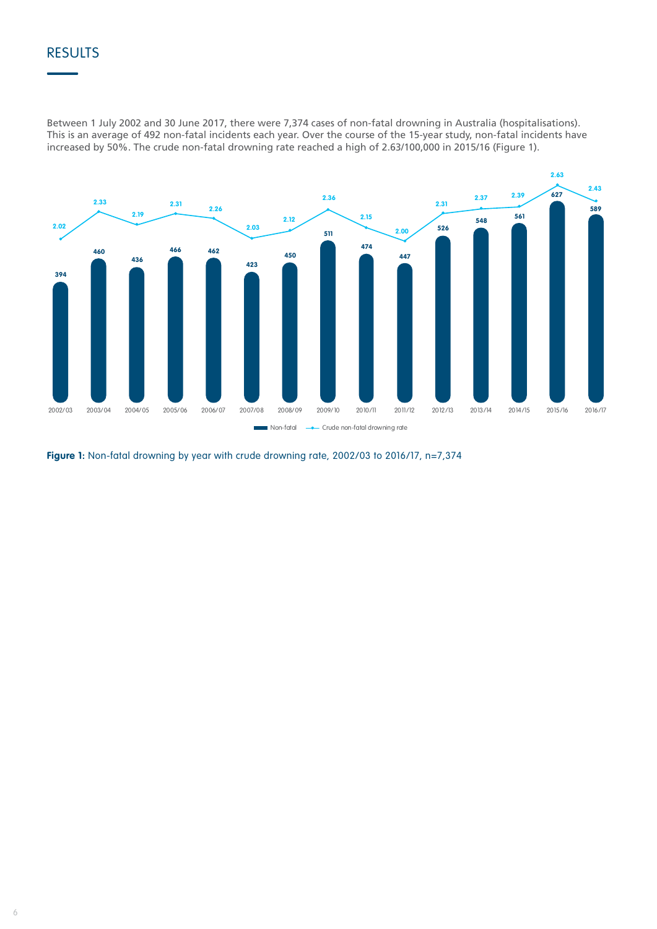# RESULTS

Between 1 July 2002 and 30 June 2017, there were 7,374 cases of non-fatal drowning in Australia (hospitalisations). This is an average of 492 non-fatal incidents each year. Over the course of the 15-year study, non-fatal incidents have increased by 50%. The crude non-fatal drowning rate reached a high of 2.63/100,000 in 2015/16 (Figure 1).



**Figure 1:** Non-fatal drowning by year with crude drowning rate, 2002/03 to 2016/17, n=7,374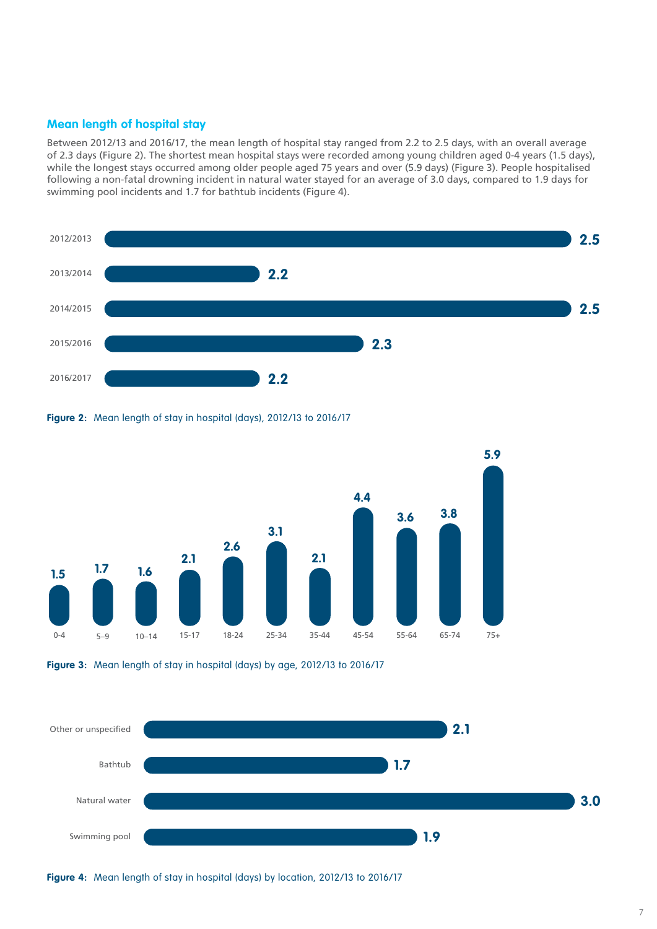# **Mean length of hospital stay**

Between 2012/13 and 2016/17, the mean length of hospital stay ranged from 2.2 to 2.5 days, with an overall average of 2.3 days (Figure 2). The shortest mean hospital stays were recorded among young children aged 0-4 years (1.5 days), while the longest stays occurred among older people aged 75 years and over (5.9 days) (Figure 3). People hospitalised following a non-fatal drowning incident in natural water stayed for an average of 3.0 days, compared to 1.9 days for swimming pool incidents and 1.7 for bathtub incidents (Figure 4).







**Figure 3:** Mean length of stay in hospital (days) by age, 2012/13 to 2016/17



**Figure 4:** Mean length of stay in hospital (days) by location, 2012/13 to 2016/17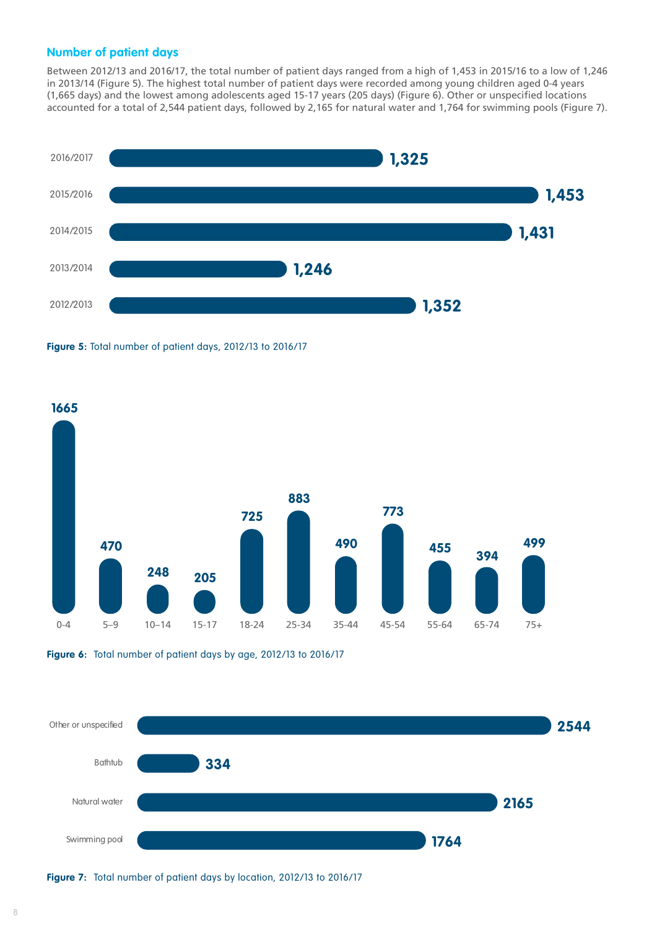### **Number of patient days**

Between 2012/13 and 2016/17, the total number of patient days ranged from a high of 1,453 in 2015/16 to a low of 1,246 in 2013/14 (Figure 5). The highest total number of patient days were recorded among young children aged 0-4 years (1,665 days) and the lowest among adolescents aged 15-17 years (205 days) (Figure 6). Other or unspecified locations accounted for a total of 2,544 patient days, followed by 2,165 for natural water and 1,764 for swimming pools (Figure 7).











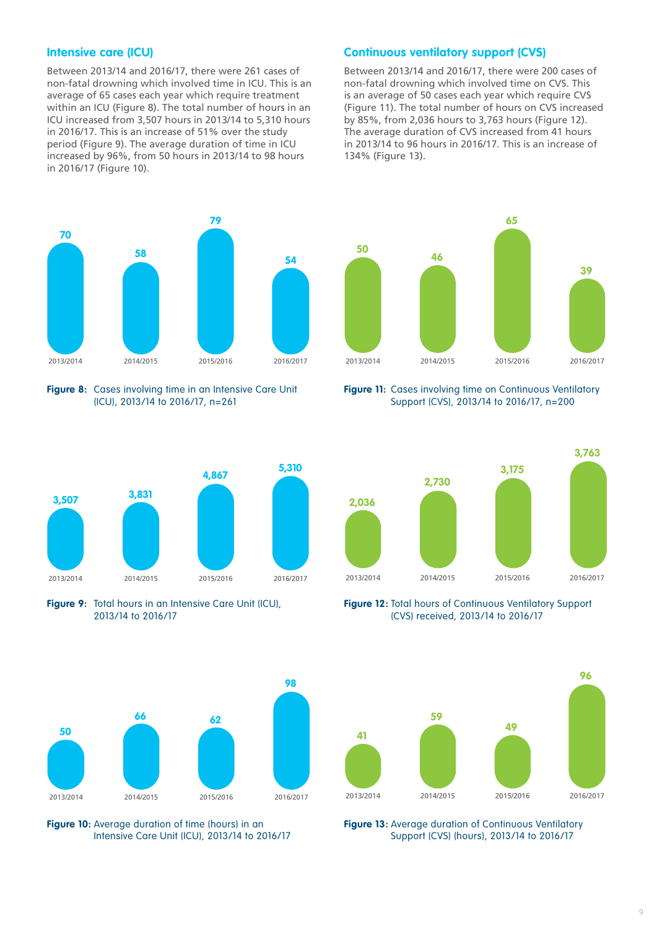#### **Intensive care (ICU)**

Between 2013/14 and 2016/17, there were 261 cases of non-fatal drowning which involved time in ICU. This is an average of 65 cases each year which require treatment within an ICU (Figure 8). The total number of hours in an ICU increased from 3,507 hours in 2013/14 to 5,310 hours in 2016/17. This is an increase of 51% over the study period (Figure 9). The average duration of time in ICU increased by 96%, from 50 hours in 2013/14 to 98 hours in 2016/17 (Figure 10).



**Figure 8:** Cases involving time in an Intensive Care Unit (ICU), 2013/14 to 2016/17, n=261



**Figure 9:** Total hours in an Intensive Care Unit (ICU), 2013/14 to 2016/17



**Figure 10:** Average duration of time (hours) in an Intensive Care Unit (ICU), 2013/14 to 2016/17

#### **Continuous ventilatory support (CVS)**

Between 2013/14 and 2016/17, there were 200 cases of non-fatal drowning which involved time on CVS. This is an average of 50 cases each year which require CVS (Figure 11). The total number of hours on CVS increased by 85%, from 2,036 hours to 3,763 hours (Figure 12). The average duration of CVS increased from 41 hours in 2013/14 to 96 hours in 2016/17. This is an increase of 134% (Figure 13).



**Figure 11:** Cases involving time on Continuous Ventilatory Support (CVS), 2013/14 to 2016/17, n=200



**Figure 12:** Total hours of Continuous Ventilatory Support (CVS) received, 2013/14 to 2016/17



**Figure 13:** Average duration of Continuous Ventilatory Support (CVS) (hours), 2013/14 to 2016/17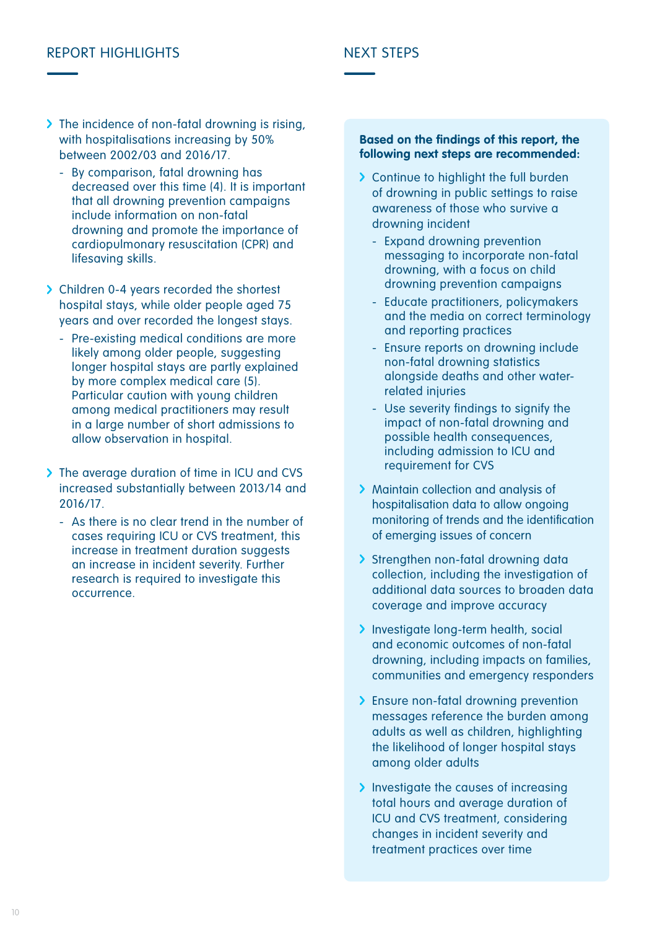# REPORT HIGHLIGHTS NEXT STEPS

- > The incidence of non-fatal drowning is rising, with hospitalisations increasing by 50% between 2002/03 and 2016/17.
	- By comparison, fatal drowning has decreased over this time (4). It is important that all drowning prevention campaigns include information on non-fatal drowning and promote the importance of cardiopulmonary resuscitation (CPR) and lifesaving skills.
- > Children 0-4 years recorded the shortest hospital stays, while older people aged 75 years and over recorded the longest stays.
	- Pre-existing medical conditions are more likely among older people, suggesting longer hospital stays are partly explained by more complex medical care (5). Particular caution with young children among medical practitioners may result in a large number of short admissions to allow observation in hospital.
- > The average duration of time in ICU and CVS increased substantially between 2013/14 and 2016/17.
	- As there is no clear trend in the number of cases requiring ICU or CVS treatment, this increase in treatment duration suggests an increase in incident severity. Further research is required to investigate this occurrence.

# **Based on the findings of this report, the following next steps are recommended:**

- > Continue to highlight the full burden of drowning in public settings to raise awareness of those who survive a drowning incident
	- Expand drowning prevention messaging to incorporate non-fatal drowning, with a focus on child drowning prevention campaigns
	- Educate practitioners, policymakers and the media on correct terminology and reporting practices
	- Ensure reports on drowning include non-fatal drowning statistics alongside deaths and other waterrelated injuries
	- Use severity findings to signify the impact of non-fatal drowning and possible health consequences, including admission to ICU and requirement for CVS
- > Maintain collection and analysis of hospitalisation data to allow ongoing monitoring of trends and the identification of emerging issues of concern
- > Strengthen non-fatal drowning data collection, including the investigation of additional data sources to broaden data coverage and improve accuracy
- > Investigate long-term health, social and economic outcomes of non-fatal drowning, including impacts on families, communities and emergency responders
- > Ensure non-fatal drowning prevention messages reference the burden among adults as well as children, highlighting the likelihood of longer hospital stays among older adults
- Investigate the causes of increasing total hours and average duration of ICU and CVS treatment, considering changes in incident severity and treatment practices over time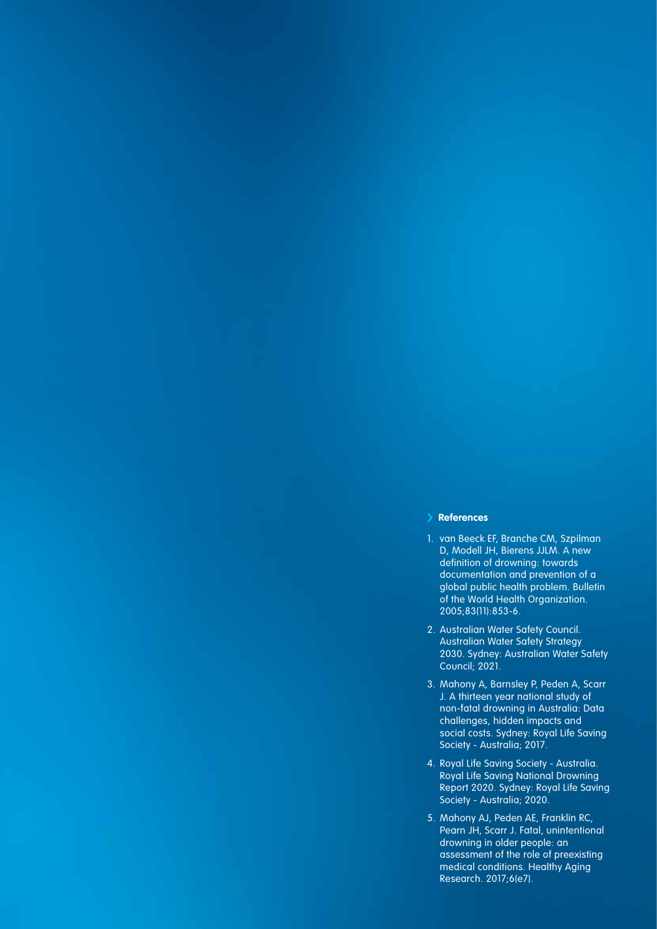#### **References**

- 1. van Beeck EF, Branche CM, Szpilman D, Modell JH, Bierens JJLM. A new definition of drowning: towards documentation and prevention of a global public health problem. Bulletin of the World Health Organization. 2005;83(11):853-6.
- 2. Australian Water Safety Council. Australian Water Safety Strategy 2030. Sydney: Australian Water Safety Council; 2021.
- 3. Mahony A, Barnsley P, Peden A, Scarr J. A thirteen year national study of non-fatal drowning in Australia: Data challenges, hidden impacts and social costs. Sydney: Royal Life Saving Society - Australia; 2017.
- 4. Royal Life Saving Society Australia. Royal Life Saving National Drowning Report 2020. Sydney: Royal Life Saving Society - Australia; 2020.
- 5. Mahony AJ, Peden AE, Franklin RC, Pearn JH, Scarr J. Fatal, unintentional drowning in older people: an assessment of the role of preexisting medical conditions. Healthy Aging Research. 2017;6(e7).